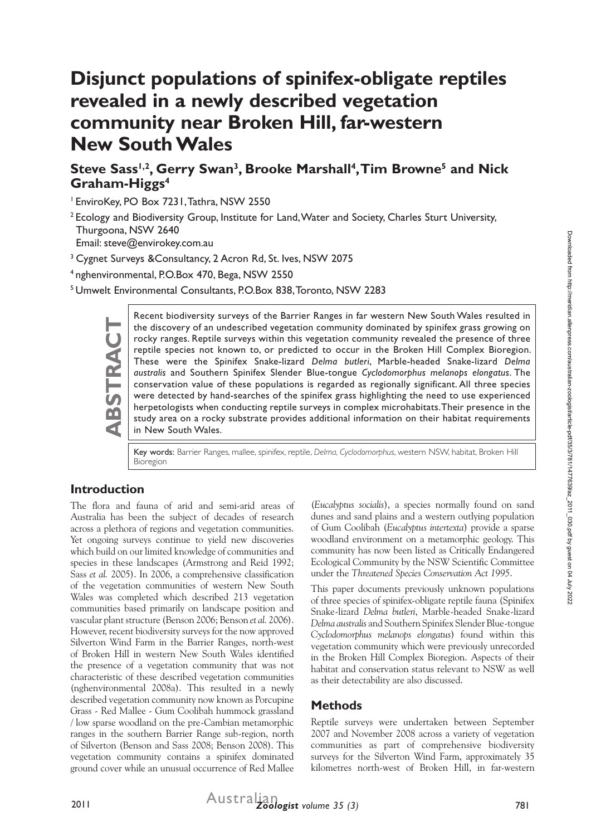# **Disjunct populations of spinifex-obligate reptiles revealed in a newly described vegetation community near Broken Hill, far-western New South Wales**

## Steve Sass<sup>1,2</sup>, Gerry Swan<sup>3</sup>, Brooke Marshall<sup>4</sup>, Tim Browne<sup>5</sup> and Nick **Graham-Higgs4**

1 EnviroKey, PO Box 7231, Tathra, NSW 2550

<sup>2</sup> Ecology and Biodiversity Group, Institute for Land, Water and Society, Charles Sturt University, Thurgoona, NSW 2640

Email: steve@envirokey.com.au

<sup>3</sup> Cygnet Surveys & Consultancy, 2 Acron Rd, St. Ives, NSW 2075

4 nghenvironmental, P.O.Box 470, Bega, NSW 2550

5 Umwelt Environmental Consultants, P.O.Box 838, Toronto, NSW 2283

Recent biodiversity surveys of the Barrier Ranges in far western New South Wales resulted in<br>the discovery of an undescribed vegetation community dominated by spinifex grass growing on<br>rocky ranges. Reptile surveys within the discovery of an undescribed vegetation community dominated by spinifex grass growing on rocky ranges. Reptile surveys within this vegetation community revealed the presence of three reptile species not known to, or predicted to occur in the Broken Hill Complex Bioregion. These were the Spinifex Snake-lizard *Delma butleri*, Marble-headed Snake-lizard *Delma australis* and Southern Spinifex Slender Blue-tongue *Cyclodomorphus melanops elongatus*. The conservation value of these populations is regarded as regionally significant. All three species were detected by hand-searches of the spinifex grass highlighting the need to use experienced herpetologists when conducting reptile surveys in complex microhabitats. Their presence in the study area on a rocky substrate provides additional information on their habitat requirements in New South Wales.

Key words: Barrier Ranges, mallee, spinifex, reptile, *Delma, Cyclodomorphus*, western NSW, habitat, Broken Hill Bioregion

#### **Introduction**

The flora and fauna of arid and semi-arid areas of Australia has been the subject of decades of research across a plethora of regions and vegetation communities. Yet ongoing surveys continue to yield new discoveries which build on our limited knowledge of communities and species in these landscapes (Armstrong and Reid 1992; Sass *et al.* 2005). In 2006, a comprehensive classification of the vegetation communities of western New South Wales was completed which described 213 vegetation communities based primarily on landscape position and vascular plant structure (Benson 2006; Benson *et al.* 2006). However, recent biodiversity surveys for the now approved Silverton Wind Farm in the Barrier Ranges, north-west of Broken Hill in western New South Wales identified the presence of a vegetation community that was not characteristic of these described vegetation communities (nghenvironmental 2008a). This resulted in a newly described vegetation community now known as Porcupine Grass - Red Mallee - Gum Coolibah hummock grassland / low sparse woodland on the pre-Cambian metamorphic ranges in the southern Barrier Range sub-region, north of Silverton (Benson and Sass 2008; Benson 2008). This vegetation community contains a spinifex dominated ground cover while an unusual occurrence of Red Mallee

(*Eucalyptus socialis*), a species normally found on sand dunes and sand plains and a western outlying population of Gum Coolibah (*Eucalyptus intertexta*) provide a sparse woodland environment on a metamorphic geology. This community has now been listed as Critically Endangered Ecological Community by the NSW Scientific Committee under the *Threatened Species Conservation Act 1995*.

This paper documents previously unknown populations of three species of spinifex-obligate reptile fauna (Spinifex Snake-lizard *Delma butleri*, Marble-headed Snake-lizard *Delma australis* and Southern Spinifex Slender Blue-tongue *Cyclodomorphus melanops elongatus*) found within this vegetation community which were previously unrecorded in the Broken Hill Complex Bioregion. Aspects of their habitat and conservation status relevant to NSW as well as their detectability are also discussed.

#### **Methods**

Reptile surveys were undertaken between September 2007 and November 2008 across a variety of vegetation communities as part of comprehensive biodiversity surveys for the Silverton Wind Farm, approximately 35 kilometres north-west of Broken Hill, in far-western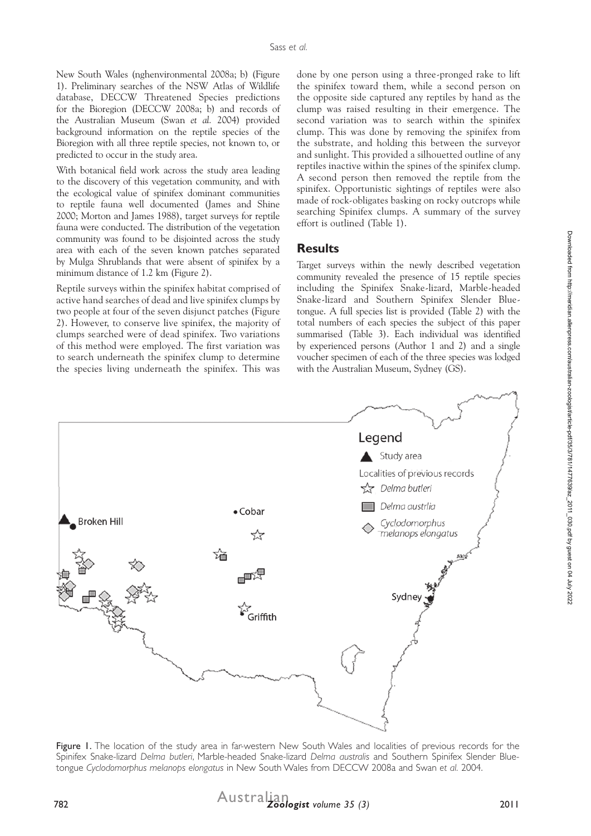New South Wales (nghenvironmental 2008a; b) (Figure 1). Preliminary searches of the NSW Atlas of Wildlife database, DECCW Threatened Species predictions for the Bioregion (DECCW 2008a; b) and records of the Australian Museum (Swan *et al.* 2004) provided background information on the reptile species of the Bioregion with all three reptile species, not known to, or predicted to occur in the study area.

With botanical field work across the study area leading to the discovery of this vegetation community, and with the ecological value of spinifex dominant communities to reptile fauna well documented (James and Shine 2000; Morton and James 1988), target surveys for reptile fauna were conducted. The distribution of the vegetation community was found to be disjointed across the study area with each of the seven known patches separated by Mulga Shrublands that were absent of spinifex by a minimum distance of 1.2 km (Figure 2).

Reptile surveys within the spinifex habitat comprised of active hand searches of dead and live spinifex clumps by two people at four of the seven disjunct patches (Figure 2). However, to conserve live spinifex, the majority of clumps searched were of dead spinifex. Two variations of this method were employed. The first variation was to search underneath the spinifex clump to determine the species living underneath the spinifex. This was

done by one person using a three-pronged rake to lift the spinifex toward them, while a second person on the opposite side captured any reptiles by hand as the clump was raised resulting in their emergence. The second variation was to search within the spinifex clump. This was done by removing the spinifex from the substrate, and holding this between the surveyor and sunlight. This provided a silhouetted outline of any reptiles inactive within the spines of the spinifex clump. A second person then removed the reptile from the spinifex. Opportunistic sightings of reptiles were also made of rock-obligates basking on rocky outcrops while searching Spinifex clumps. A summary of the survey effort is outlined (Table 1).

#### **Results**

Target surveys within the newly described vegetation community revealed the presence of 15 reptile species including the Spinifex Snake-lizard, Marble-headed Snake-lizard and Southern Spinifex Slender Bluetongue. A full species list is provided (Table 2) with the total numbers of each species the subject of this paper summarised (Table 3). Each individual was identified by experienced persons (Author 1 and 2) and a single voucher specimen of each of the three species was lodged with the Australian Museum, Sydney (GS).



Figure 1. The location of the study area in far-western New South Wales and localities of previous records for the Spinifex Snake-lizard *Delma butleri*, Marble-headed Snake-lizard *Delma australis* and Southern Spinifex Slender Bluetongue *Cyclodomorphus melanops elongatus* in New South Wales from DECCW 2008a and Swan *et al.* 2004.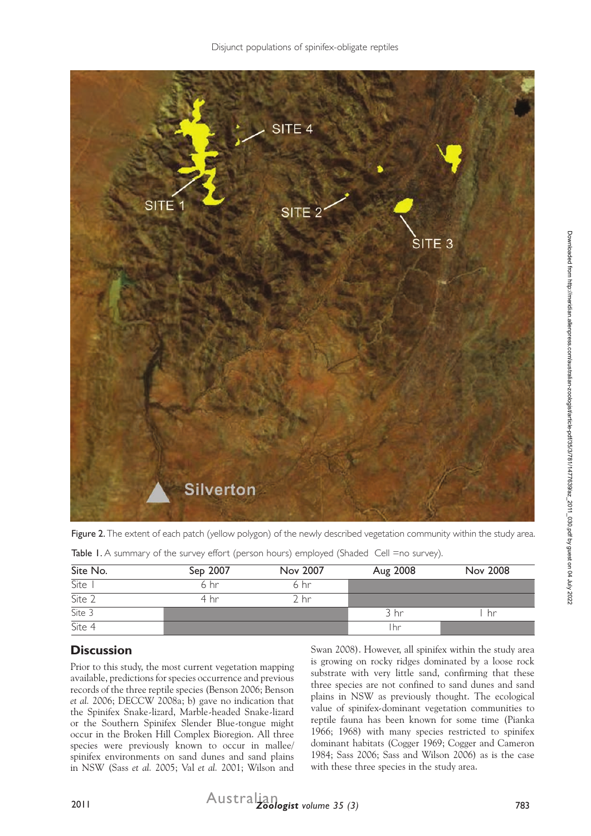

Figure 2. The extent of each patch (yellow polygon) of the newly described vegetation community within the study area.

| Site No.                       | <b>Nov 2008</b> |  |
|--------------------------------|-----------------|--|
| $\overline{\text{Site } \top}$ |                 |  |
| $\overline{\text{Site } 2}$    |                 |  |
| $\overline{\text{Site } 3}$    | hr              |  |
|                                |                 |  |
| Site 4                         |                 |  |

Table I. A summary of the survey effort (person hours) employed (Shaded Cell =no survey).

# **Discussion**

Prior to this study, the most current vegetation mapping available, predictions for species occurrence and previous records of the three reptile species (Benson 2006; Benson *et al.* 2006; DECCW 2008a; b) gave no indication that the Spinifex Snake-lizard, Marble-headed Snake-lizard or the Southern Spinifex Slender Blue-tongue might occur in the Broken Hill Complex Bioregion. All three species were previously known to occur in mallee/ spinifex environments on sand dunes and sand plains in NSW (Sass *et al.* 2005; Val *et al.* 2001; Wilson and Swan 2008). However, all spinifex within the study area is growing on rocky ridges dominated by a loose rock substrate with very little sand, confirming that these three species are not confined to sand dunes and sand plains in NSW as previously thought. The ecological value of spinifex-dominant vegetation communities to reptile fauna has been known for some time (Pianka 1966; 1968) with many species restricted to spinifex dominant habitats (Cogger 1969; Cogger and Cameron 1984; Sass 2006; Sass and Wilson 2006) as is the case with these three species in the study area.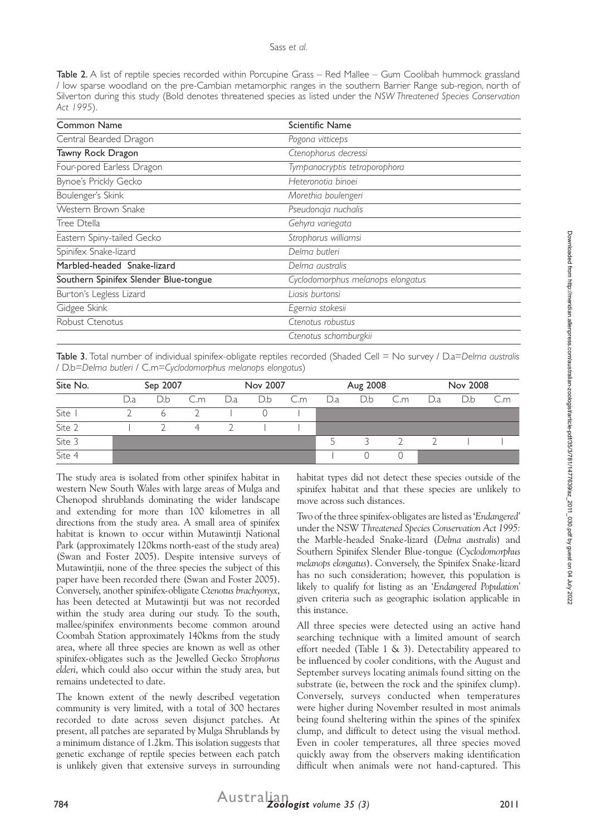Table 2. A list of reptile species recorded within Porcupine Grass – Red Mallee – Gum Coolibah hummock grassland / low sparse woodland on the pre-Cambian metamorphic ranges in the southern Barrier Range sub-region, north of Silverton during this study (Bold denotes threatened species as listed under the *NSW Threatened Species Conservation Act 1995*).

| Pogona vitticeps<br>Tawny Rock Dragon<br>Ctenophorus decressi<br>Tympanocryptis tetraporophora<br>Heteronotia binoei<br>Morethia boulengeri<br>Pseudonaja nuchalis<br>Tree Dtella<br>Gehyra variegata<br>Strophorus williamsi<br>Delma butleri<br>Delma australis<br>Cyclodomorphus melanops elongatus<br>Liasis burtonsi<br>Egernia stokesii<br>Ctenotus robustus<br>Ctenotus schomburgkii | Common Name                           | Scientific Name |  |  |  |  |  |
|---------------------------------------------------------------------------------------------------------------------------------------------------------------------------------------------------------------------------------------------------------------------------------------------------------------------------------------------------------------------------------------------|---------------------------------------|-----------------|--|--|--|--|--|
|                                                                                                                                                                                                                                                                                                                                                                                             | Central Bearded Dragon                |                 |  |  |  |  |  |
|                                                                                                                                                                                                                                                                                                                                                                                             |                                       |                 |  |  |  |  |  |
|                                                                                                                                                                                                                                                                                                                                                                                             | Four-pored Earless Dragon             |                 |  |  |  |  |  |
|                                                                                                                                                                                                                                                                                                                                                                                             | Bynoe's Prickly Gecko                 |                 |  |  |  |  |  |
|                                                                                                                                                                                                                                                                                                                                                                                             | Boulenger's Skink                     |                 |  |  |  |  |  |
|                                                                                                                                                                                                                                                                                                                                                                                             | Western Brown Snake                   |                 |  |  |  |  |  |
|                                                                                                                                                                                                                                                                                                                                                                                             |                                       |                 |  |  |  |  |  |
|                                                                                                                                                                                                                                                                                                                                                                                             | Eastern Spiny-tailed Gecko            |                 |  |  |  |  |  |
|                                                                                                                                                                                                                                                                                                                                                                                             | Spinifex Snake-lizard                 |                 |  |  |  |  |  |
|                                                                                                                                                                                                                                                                                                                                                                                             | Marbled-headed Snake-lizard           |                 |  |  |  |  |  |
|                                                                                                                                                                                                                                                                                                                                                                                             | Southern Spinifex Slender Blue-tongue |                 |  |  |  |  |  |
|                                                                                                                                                                                                                                                                                                                                                                                             | Burton's Legless Lizard               |                 |  |  |  |  |  |
|                                                                                                                                                                                                                                                                                                                                                                                             | Gidgee Skink                          |                 |  |  |  |  |  |
|                                                                                                                                                                                                                                                                                                                                                                                             | Robust Ctenotus                       |                 |  |  |  |  |  |
|                                                                                                                                                                                                                                                                                                                                                                                             |                                       |                 |  |  |  |  |  |

Table 3. Total number of individual spinifex-obligate reptiles recorded (Shaded Cell = No survey / D.a=*Delma australis* / D.b=*Delma butleri* / C.m=*Cyclodomorphus melanops elongatus*)

| Site No. | Sep 2007  |     |                | Nov 2007 |     | Aug 2008 |     |     | Nov 2008 |     |     |     |
|----------|-----------|-----|----------------|----------|-----|----------|-----|-----|----------|-----|-----|-----|
|          | $\cup$ .a | D.b | C.m            | D.a      | D.b | C.m      | D.a | D.b | C.m      | D.a | D.b | C.m |
| Site     |           | 6   |                |          |     |          |     |     |          |     |     |     |
| Site 2   |           |     | $\overline{A}$ |          |     |          |     |     |          |     |     |     |
| Site 3   |           |     |                |          |     |          | ↖   |     |          |     |     |     |
| Site 4   |           |     |                |          |     |          |     |     |          |     |     |     |

The study area is isolated from other spinifex habitat in western New South Wales with large areas of Mulga and Chenopod shrublands dominating the wider landscape and extending for more than 100 kilometres in all directions from the study area. A small area of spinifex habitat is known to occur within Mutawintji National Park (approximately 120kms north-east of the study area) (Swan and Foster 2005). Despite intensive surveys of Mutawintjii, none of the three species the subject of this paper have been recorded there (Swan and Foster 2005). Conversely, another spinifex-obligate *Ctenotus brachyonyx*, has been detected at Mutawintji but was not recorded within the study area during our study. To the south, mallee/spinifex environments become common around Coombah Station approximately 140kms from the study area, where all three species are known as well as other spinifex-obligates such as the Jewelled Gecko *Strophorus elderi*, which could also occur within the study area, but remains undetected to date.

The known extent of the newly described vegetation community is very limited, with a total of 300 hectares recorded to date across seven disjunct patches. At present, all patches are separated by Mulga Shrublands by a minimum distance of 1.2km. This isolation suggests that genetic exchange of reptile species between each patch is unlikely given that extensive surveys in surrounding

habitat types did not detect these species outside of the spinifex habitat and that these species are unlikely to move across such distances.

Two of the three spinifex-obligates are listed as '*Endangered'* under the NSW *Threatened Species Conservation Act 1995:*  the Marble-headed Snake-lizard (*Delma australis*) and Southern Spinifex Slender Blue-tongue (*Cyclodomorphus melanops elongatus*). Conversely, the Spinifex Snake-lizard has no such consideration; however, this population is likely to qualify for listing as an '*Endangered Population'* given criteria such as geographic isolation applicable in this instance.

All three species were detected using an active hand searching technique with a limited amount of search effort needed (Table 1 & 3). Detectability appeared to be influenced by cooler conditions, with the August and September surveys locating animals found sitting on the substrate (ie, between the rock and the spinifex clump). Conversely, surveys conducted when temperatures were higher during November resulted in most animals being found sheltering within the spines of the spinifex clump, and difficult to detect using the visual method. Even in cooler temperatures, all three species moved quickly away from the observers making identification difficult when animals were not hand-captured. This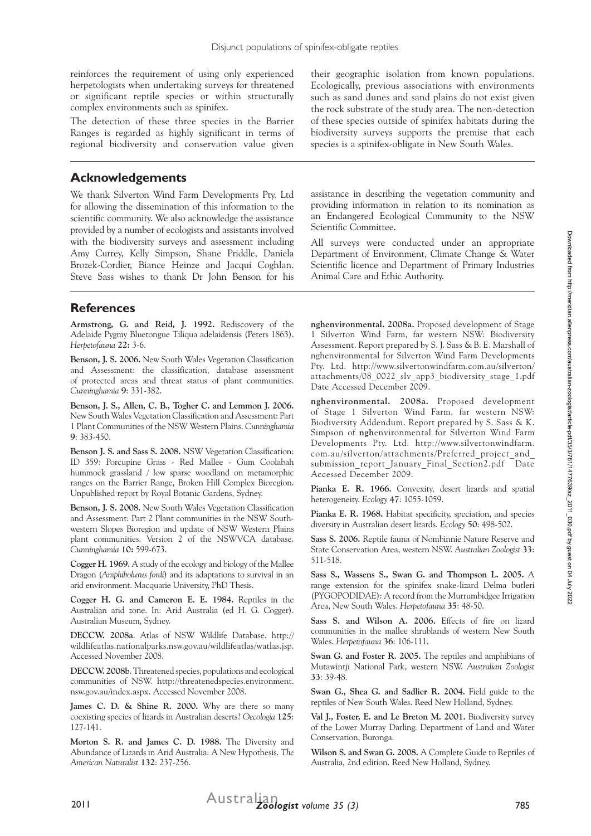reinforces the requirement of using only experienced herpetologists when undertaking surveys for threatened or significant reptile species or within structurally complex environments such as spinifex.

The detection of these three species in the Barrier Ranges is regarded as highly significant in terms of regional biodiversity and conservation value given

#### **Acknowledgements**

We thank Silverton Wind Farm Developments Pty. Ltd for allowing the dissemination of this information to the scientific community. We also acknowledge the assistance provided by a number of ecologists and assistants involved with the biodiversity surveys and assessment including Amy Currey, Kelly Simpson, Shane Priddle, Daniela Brozek-Cordier, Biance Heinze and Jacqui Coghlan. Steve Sass wishes to thank Dr John Benson for his

their geographic isolation from known populations. Ecologically, previous associations with environments such as sand dunes and sand plains do not exist given the rock substrate of the study area. The non-detection of these species outside of spinifex habitats during the biodiversity surveys supports the premise that each species is a spinifex-obligate in New South Wales.

assistance in describing the vegetation community and providing information in relation to its nomination as an Endangered Ecological Community to the NSW Scientific Committee.

All surveys were conducted under an appropriate Department of Environment, Climate Change & Water Scientific licence and Department of Primary Industries Animal Care and Ethic Authority.

### **References**

**Armstrong, G. and Reid, J. 1992.** Rediscovery of the Adelaide Pygmy Bluetongue Tiliqua adelaidensis (Peters 1863). *Herpetofauna* **22:** 3-6.

**Benson, J. S. 2006.** New South Wales Vegetation Classification and Assessment: the classification, database assessment of protected areas and threat status of plant communities. *Cunninghamia* **9**: 331-382.

**Benson, J. S., Allen, C. B., Togher C. and Lemmon J. 2006.** New South Wales Vegetation Classification and Assessment: Part 1 Plant Communities of the NSW Western Plains. *Cunninghamia* **9**: 383-450.

**Benson J. S. and Sass S. 2008.** NSW Vegetation Classification: ID 359: Porcupine Grass - Red Mallee - Gum Coolabah hummock grassland / low sparse woodland on metamorphic ranges on the Barrier Range, Broken Hill Complex Bioregion. Unpublished report by Royal Botanic Gardens, Sydney.

**Benson, J. S. 2008.** New South Wales Vegetation Classification and Assessment: Part 2 Plant communities in the NSW Southwestern Slopes Bioregion and update of NSW Western Plains plant communities. Version 2 of the NSWVCA database. *Cunninghamia* **10:** 599-673.

**Cogger H. 1969.** A study of the ecology and biology of the Mallee Dragon (*Amphibolurus fordi*) and its adaptations to survival in an arid environment. Macquarie University, PhD Thesis.

**Cogger H. G. and Cameron E. E. 1984.** Reptiles in the Australian arid zone. In: Arid Australia (ed H. G. Cogger). Australian Museum, Sydney.

**DECCW. 2008a**. Atlas of NSW Wildlife Database. http:// wildlifeatlas.nationalparks.nsw.gov.au/wildlifeatlas/watlas.jsp. Accessed November 2008.

**DECCW. 2008b**. Threatened species, populations and ecological communities of NSW. http://threatenedspecies.environment. nsw.gov.au/index.aspx. Accessed November 2008.

James C. D. & Shine R. 2000. Why are there so many coexisting species of lizards in Australian deserts? *Oecologia* **125**: 127-141.

**Morton S. R. and James C. D. 1988.** The Diversity and Abundance of Lizards in Arid Australia: A New Hypothesis. *The American Naturalist* **132**: 237-256.

**nghenvironmental. 2008a.** Proposed development of Stage 1 Silverton Wind Farm, far western NSW: Biodiversity Assessment. Report prepared by S. J. Sass & B. E. Marshall of nghenvironmental for Silverton Wind Farm Developments Pty. Ltd. http://www.silvertonwindfarm.com.au/silverton/ attachments/08\_0022\_slv\_app3\_biodiversity\_stage\_1.pdf Date Accessed December 2009.

**nghenvironmental. 2008a.** Proposed development of Stage 1 Silverton Wind Farm, far western NSW: Biodiversity Addendum. Report prepared by S. Sass & K. Simpson of **ngh**environmental for Silverton Wind Farm Developments Pty. Ltd. http://www.silvertonwindfarm. com.au/silverton/attachments/Preferred\_project\_and\_ submission report January Final Section2.pdf Date Accessed December 2009.

**Pianka E. R. 1966.** Convexity, desert lizards and spatial heterogeneity. *Ecology* **47**: 1055-1059.

**Pianka E. R. 1968.** Habitat specificity, speciation, and species diversity in Australian desert lizards. *Ecology* **50**: 498-502.

**Sass S. 2006.** Reptile fauna of Nombinnie Nature Reserve and State Conservation Area, western NSW. *Australian Zoologist* **33**: 511-518.

**Sass S., Wassens S., Swan G. and Thompson L. 2005.** A range extension for the spinifex snake-lizard Delma butleri (PYGOPODIDAE): A record from the Murrumbidgee Irrigation Area, New South Wales. *Herpetofauna* **35**: 48-50.

**Sass S. and Wilson A. 2006.** Effects of fire on lizard communities in the mallee shrublands of western New South Wales. *Herpetofauna* **36**: 106-111.

**Swan G. and Foster R. 2005.** The reptiles and amphibians of Mutawintji National Park, western NSW. *Australian Zoologist* **33**: 39-48.

**Swan G., Shea G. and Sadlier R. 2004.** Field guide to the reptiles of New South Wales. Reed New Holland, Sydney.

**Val J., Foster, E. and Le Breton M. 2001.** Biodiversity survey of the Lower Murray Darling. Department of Land and Water Conservation, Buronga.

**Wilson S. and Swan G. 2008.** A Complete Guide to Reptiles of Australia, 2nd edition. Reed New Holland, Sydney.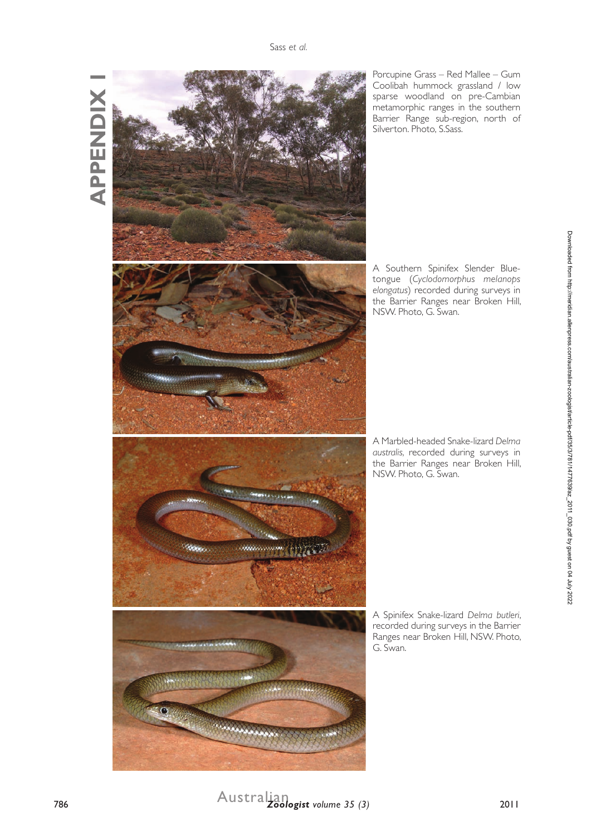**APPENDIX 1 APPENDIX** 



Porcupine Grass – Red Mallee – Gum Coolibah hummock grassland / low sparse woodland on pre-Cambian metamorphic ranges in the southern Barrier Range sub-region, north of Silverton. Photo, S.Sass.

A Southern Spinifex Slender Bluetongue (*Cyclodomorphus melanops elongatus*) recorded during surveys in the Barrier Ranges near Broken Hill, NSW. Photo, G. Swan.

A Marbled-headed Snake-lizard *Delma australis,* recorded during surveys in the Barrier Ranges near Broken Hill, NSW. Photo, G. Swan.

A Spinifex Snake-lizard *Delma butleri*, recorded during surveys in the Barrier Ranges near Broken Hill, NSW. Photo, G. Swan.